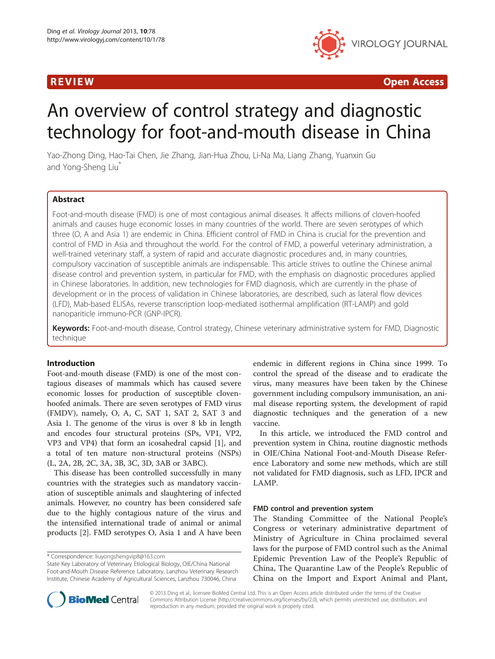

**REVIEW CONSUMING A REVIEW CONSUMING A REVIEW CONSUMING A REVIEW CONSUMING A REVIEW CONSUMING A REVIEW OPEN ACCESS** 

# An overview of control strategy and diagnostic technology for foot-and-mouth disease in China

Yao-Zhong Ding, Hao-Tai Chen, Jie Zhang, Jian-Hua Zhou, Li-Na Ma, Liang Zhang, Yuanxin Gu and Yong-Sheng Liu<sup>\*</sup>

# Abstract

Foot-and-mouth disease (FMD) is one of most contagious animal diseases. It affects millions of cloven-hoofed animals and causes huge economic losses in many countries of the world. There are seven serotypes of which three (O, A and Asia 1) are endemic in China. Efficient control of FMD in China is crucial for the prevention and control of FMD in Asia and throughout the world. For the control of FMD, a powerful veterinary administration, a well-trained veterinary staff, a system of rapid and accurate diagnostic procedures and, in many countries, compulsory vaccination of susceptible animals are indispensable. This article strives to outline the Chinese animal disease control and prevention system, in particular for FMD, with the emphasis on diagnostic procedures applied in Chinese laboratories. In addition, new technologies for FMD diagnosis, which are currently in the phase of development or in the process of validation in Chinese laboratories, are described, such as lateral flow devices (LFD), Mab-based ELISAs, reverse transcription loop-mediated isothermal amplification (RT-LAMP) and gold nanopariticle immuno-PCR (GNP-IPCR).

Keywords: Foot-and-mouth disease, Control strategy, Chinese veterinary administrative system for FMD, Diagnostic technique

# Introduction

Foot-and-mouth disease (FMD) is one of the most contagious diseases of mammals which has caused severe economic losses for production of susceptible clovenhoofed animals. There are seven serotypes of FMD virus (FMDV), namely, O, A, C, SAT 1, SAT 2, SAT 3 and Asia 1. The genome of the virus is over 8 kb in length and encodes four structural proteins (SPs, VP1, VP2, VP3 and VP4) that form an icosahedral capsid [1], and a total of ten mature non-structural proteins (NSPs) (L, 2A, 2B, 2C, 3A, 3B, 3C, 3D, 3AB or 3ABC).

This disease has been controlled successfully in many countries with the strategies such as mandatory vaccination of susceptible animals and slaughtering of infected animals. However, no country has been considered safe due to the highly contagious nature of the virus and the intensified international trade of animal or animal products [2]. FMD serotypes O, Asia 1 and A have been

endemic in different regions in China since 1999. To control the spread of the disease and to eradicate the virus, many measures have been taken by the Chinese government including compulsory immunisation, an animal disease reporting system, the development of rapid diagnostic techniques and the generation of a new vaccine.

In this article, we introduced the FMD control and prevention system in China, routine diagnostic methods in OIE/China National Foot-and-Mouth Disease Reference Laboratory and some new methods, which are still not validated for FMD diagnosis, such as LFD, IPCR and LAMP.

### FMD control and prevention system

The Standing Committee of the National People's Congress or veterinary administrative department of Ministry of Agriculture in China proclaimed several laws for the purpose of FMD control such as the Animal Epidemic Prevention Law of the People's Republic of China, The Quarantine Law of the People's Republic of China on the Import and Export Animal and Plant,



© 2013 Ding et al.; licensee BioMed Central Ltd. This is an Open Access article distributed under the terms of the Creative Commons Attribution License (http://creativecommons.org/licenses/by/2.0), which permits unrestricted use, distribution, and reproduction in any medium, provided the original work is properly cited.

<sup>\*</sup> Correspondence: liuyongshengvip8@163.com

State Key Laboratory of Veterinary Etiological Biology, OIE/China National Foot-and-Mouth Disease Reference Laboratory, Lanzhou Veterinary Research Institute, Chinese Academy of Agricultural Sciences, Lanzhou 730046, China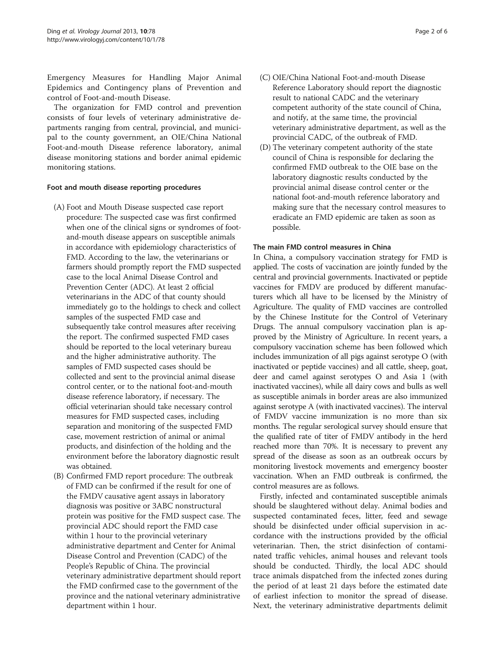Emergency Measures for Handling Major Animal Epidemics and Contingency plans of Prevention and control of Foot-and-mouth Disease.

The organization for FMD control and prevention consists of four levels of veterinary administrative departments ranging from central, provincial, and municipal to the county government, an OIE/China National Foot-and-mouth Disease reference laboratory, animal disease monitoring stations and border animal epidemic monitoring stations.

# Foot and mouth disease reporting procedures

- (A) Foot and Mouth Disease suspected case report procedure: The suspected case was first confirmed when one of the clinical signs or syndromes of footand-mouth disease appears on susceptible animals in accordance with epidemiology characteristics of FMD. According to the law, the veterinarians or farmers should promptly report the FMD suspected case to the local Animal Disease Control and Prevention Center (ADC). At least 2 official veterinarians in the ADC of that county should immediately go to the holdings to check and collect samples of the suspected FMD case and subsequently take control measures after receiving the report. The confirmed suspected FMD cases should be reported to the local veterinary bureau and the higher administrative authority. The samples of FMD suspected cases should be collected and sent to the provincial animal disease control center, or to the national foot-and-mouth disease reference laboratory, if necessary. The official veterinarian should take necessary control measures for FMD suspected cases, including separation and monitoring of the suspected FMD case, movement restriction of animal or animal products, and disinfection of the holding and the environment before the laboratory diagnostic result was obtained.
- (B) Confirmed FMD report procedure: The outbreak of FMD can be confirmed if the result for one of the FMDV causative agent assays in laboratory diagnosis was positive or 3ABC nonstructural protein was positive for the FMD suspect case. The provincial ADC should report the FMD case within 1 hour to the provincial veterinary administrative department and Center for Animal Disease Control and Prevention (CADC) of the People's Republic of China. The provincial veterinary administrative department should report the FMD confirmed case to the government of the province and the national veterinary administrative department within 1 hour.
- (C) OIE/China National Foot-and-mouth Disease Reference Laboratory should report the diagnostic result to national CADC and the veterinary competent authority of the state council of China, and notify, at the same time, the provincial veterinary administrative department, as well as the provincial CADC, of the outbreak of FMD.
- (D) The veterinary competent authority of the state council of China is responsible for declaring the confirmed FMD outbreak to the OIE base on the laboratory diagnostic results conducted by the provincial animal disease control center or the national foot-and-mouth reference laboratory and making sure that the necessary control measures to eradicate an FMD epidemic are taken as soon as possible.

# The main FMD control measures in China

In China, a compulsory vaccination strategy for FMD is applied. The costs of vaccination are jointly funded by the central and provincial governments. Inactivated or peptide vaccines for FMDV are produced by different manufacturers which all have to be licensed by the Ministry of Agriculture. The quality of FMD vaccines are controlled by the Chinese Institute for the Control of Veterinary Drugs. The annual compulsory vaccination plan is approved by the Ministry of Agriculture. In recent years, a compulsory vaccination scheme has been followed which includes immunization of all pigs against serotype O (with inactivated or peptide vaccines) and all cattle, sheep, goat, deer and camel against serotypes O and Asia 1 (with inactivated vaccines), while all dairy cows and bulls as well as susceptible animals in border areas are also immunized against serotype A (with inactivated vaccines). The interval of FMDV vaccine immunization is no more than six months. The regular serological survey should ensure that the qualified rate of titer of FMDV antibody in the herd reached more than 70%. It is necessary to prevent any spread of the disease as soon as an outbreak occurs by monitoring livestock movements and emergency booster vaccination. When an FMD outbreak is confirmed, the control measures are as follows.

Firstly, infected and contaminated susceptible animals should be slaughtered without delay. Animal bodies and suspected contaminated feces, litter, feed and sewage should be disinfected under official supervision in accordance with the instructions provided by the official veterinarian. Then, the strict disinfection of contaminated traffic vehicles, animal houses and relevant tools should be conducted. Thirdly, the local ADC should trace animals dispatched from the infected zones during the period of at least 21 days before the estimated date of earliest infection to monitor the spread of disease. Next, the veterinary administrative departments delimit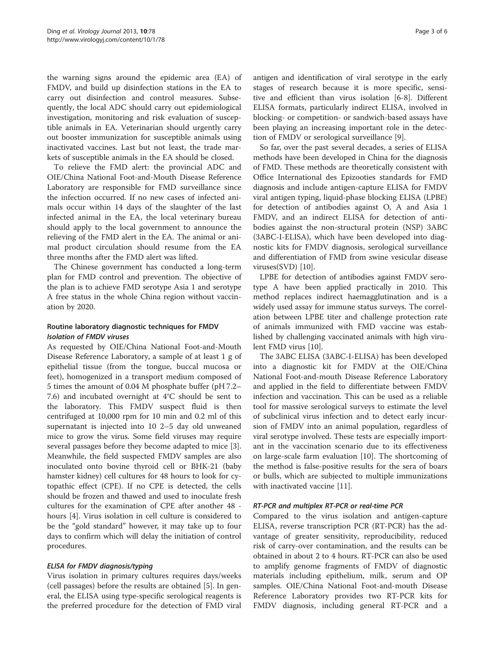the warning signs around the epidemic area (EA) of FMDV, and build up disinfection stations in the EA to carry out disinfection and control measures. Subsequently, the local ADC should carry out epidemiological investigation, monitoring and risk evaluation of susceptible animals in EA. Veterinarian should urgently carry out booster immunization for susceptible animals using inactivated vaccines. Last but not least, the trade markets of susceptible animals in the EA should be closed.

To relieve the FMD alert: the provincial ADC and OIE/China National Foot-and-Mouth Disease Reference Laboratory are responsible for FMD surveillance since the infection occurred. If no new cases of infected animals occur within 14 days of the slaughter of the last infected animal in the EA, the local veterinary bureau should apply to the local government to announce the relieving of the FMD alert in the EA. The animal or animal product circulation should resume from the EA three months after the FMD alert was lifted.

The Chinese government has conducted a long-term plan for FMD control and prevention. The objective of the plan is to achieve FMD serotype Asia 1 and serotype A free status in the whole China region without vaccination by 2020.

# Routine laboratory diagnostic techniques for FMDV Isolation of FMDV viruses

As requested by OIE/China National Foot-and-Mouth Disease Reference Laboratory, a sample of at least 1 g of epithelial tissue (from the tongue, buccal mucosa or feet), homogenized in a transport medium composed of 5 times the amount of 0.04 M phosphate buffer (pH 7.2– 7.6) and incubated overnight at 4°C should be sent to the laboratory. This FMDV suspect fluid is then centrifuged at 10,000 rpm for 10 min and 0.2 ml of this supernatant is injected into 10 2–5 day old unweaned mice to grow the virus. Some field viruses may require several passages before they become adapted to mice [3]. Meanwhile, the field suspected FMDV samples are also inoculated onto bovine thyroid cell or BHK-21 (baby hamster kidney) cell cultures for 48 hours to look for cytopathic effect (CPE). If no CPE is detected, the cells should be frozen and thawed and used to inoculate fresh cultures for the examination of CPE after another 48 hours [4]. Virus isolation in cell culture is considered to be the "gold standard" however, it may take up to four days to confirm which will delay the initiation of control procedures.

# ELISA for FMDV diagnosis/typing

Virus isolation in primary cultures requires days/weeks (cell passages) before the results are obtained [5]. In general, the ELISA using type-specific serological reagents is the preferred procedure for the detection of FMD viral

antigen and identification of viral serotype in the early stages of research because it is more specific, sensitive and efficient than virus isolation [6-8]. Different ELISA formats, particularly indirect ELISA, involved in blocking- or competition- or sandwich-based assays have been playing an increasing important role in the detection of FMDV or serological surveillance [9].

So far, over the past several decades, a series of ELISA methods have been developed in China for the diagnosis of FMD. These methods are theoretically consistent with Office International des Epizooties standards for FMD diagnosis and include antigen-capture ELISA for FMDV viral antigen typing, liquid-phase blocking ELISA (LPBE) for detection of antibodies against O, A and Asia 1 FMDV, and an indirect ELISA for detection of antibodies against the non-structural protein (NSP) 3ABC (3ABC-I-ELISA), which have been developed into diagnostic kits for FMDV diagnosis, serological surveillance and differentiation of FMD from swine vesicular disease viruses(SVD) [10].

LPBE for detection of antibodies against FMDV serotype A have been applied practically in 2010. This method replaces indirect haemagglutination and is a widely used assay for immune status surveys. The correlation between LPBE titer and challenge protection rate of animals immunized with FMD vaccine was established by challenging vaccinated animals with high virulent FMD virus [10].

The 3ABC ELISA (3ABC-I-ELISA) has been developed into a diagnostic kit for FMDV at the OIE/China National Foot-and-mouth Disease Reference Laboratory and applied in the field to differentiate between FMDV infection and vaccination. This can be used as a reliable tool for massive serological surveys to estimate the level of subclinical virus infection and to detect early incursion of FMDV into an animal population, regardless of viral serotype involved. These tests are especially important in the vaccination scenario due to its effectiveness on large-scale farm evaluation [10]. The shortcoming of the method is false-positive results for the sera of boars or bulls, which are subjected to multiple immunizations with inactivated vaccine [11].

# RT-PCR and multiplex RT-PCR or real-time PCR

Compared to the virus isolation and antigen-capture ELISA, reverse transcription PCR (RT-PCR) has the advantage of greater sensitivity, reproducibility, reduced risk of carry-over contamination, and the results can be obtained in about 2 to 4 hours. RT-PCR can also be used to amplify genome fragments of FMDV of diagnostic materials including epithelium, milk, serum and OP samples. OIE/China National Foot-and-mouth Disease Reference Laboratory provides two RT-PCR kits for FMDV diagnosis, including general RT-PCR and a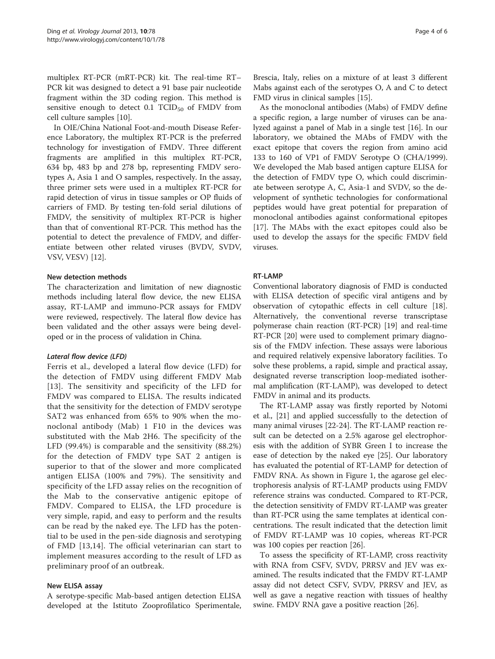multiplex RT-PCR (mRT-PCR) kit. The real-time RT– PCR kit was designed to detect a 91 base pair nucleotide fragment within the 3D coding region. This method is sensitive enough to detect  $0.1$  TCID<sub>50</sub> of FMDV from cell culture samples [10].

In OIE/China National Foot-and-mouth Disease Reference Laboratory, the multiplex RT-PCR is the preferred technology for investigation of FMDV. Three different fragments are amplified in this multiplex RT-PCR, 634 bp, 483 bp and 278 bp, representing FMDV serotypes A, Asia 1 and O samples, respectively. In the assay, three primer sets were used in a multiplex RT-PCR for rapid detection of virus in tissue samples or OP fluids of carriers of FMD. By testing ten-fold serial dilutions of FMDV, the sensitivity of multiplex RT-PCR is higher than that of conventional RT-PCR. This method has the potential to detect the prevalence of FMDV, and differentiate between other related viruses (BVDV, SVDV, VSV, VESV) [12].

# New detection methods

The characterization and limitation of new diagnostic methods including lateral flow device, the new ELISA assay, RT-LAMP and immuno-PCR assays for FMDV were reviewed, respectively. The lateral flow device has been validated and the other assays were being developed or in the process of validation in China.

# Lateral flow device (LFD)

Ferris et al., developed a lateral flow device (LFD) for the detection of FMDV using different FMDV Mab [13]. The sensitivity and specificity of the LFD for FMDV was compared to ELISA. The results indicated that the sensitivity for the detection of FMDV serotype SAT2 was enhanced from 65% to 90% when the monoclonal antibody (Mab) 1 F10 in the devices was substituted with the Mab 2H6. The specificity of the LFD (99.4%) is comparable and the sensitivity (88.2%) for the detection of FMDV type SAT 2 antigen is superior to that of the slower and more complicated antigen ELISA (100% and 79%). The sensitivity and specificity of the LFD assay relies on the recognition of the Mab to the conservative antigenic epitope of FMDV. Compared to ELISA, the LFD procedure is very simple, rapid, and easy to perform and the results can be read by the naked eye. The LFD has the potential to be used in the pen-side diagnosis and serotyping of FMD [13,14]. The official veterinarian can start to implement measures according to the result of LFD as preliminary proof of an outbreak.

### New ELISA assay

A serotype-specific Mab-based antigen detection ELISA developed at the Istituto Zooprofilatico Sperimentale,

Brescia, Italy, relies on a mixture of at least 3 different Mabs against each of the serotypes O, A and C to detect FMD virus in clinical samples [15].

As the monoclonal antibodies (Mabs) of FMDV define a specific region, a large number of viruses can be analyzed against a panel of Mab in a single test [16]. In our laboratory, we obtained the MAbs of FMDV with the exact epitope that covers the region from amino acid 133 to 160 of VP1 of FMDV Serotype O (CHA/1999). We developed the Mab based antigen capture ELISA for the detection of FMDV type O, which could discriminate between serotype A, C, Asia-1 and SVDV, so the development of synthetic technologies for conformational peptides would have great potential for preparation of monoclonal antibodies against conformational epitopes [17]. The MAbs with the exact epitopes could also be used to develop the assays for the specific FMDV field viruses.

# RT-LAMP

Conventional laboratory diagnosis of FMD is conducted with ELISA detection of specific viral antigens and by observation of cytopathic effects in cell culture [18]. Alternatively, the conventional reverse transcriptase polymerase chain reaction (RT-PCR) [19] and real-time RT-PCR [20] were used to complement primary diagnosis of the FMDV infection. These assays were laborious and required relatively expensive laboratory facilities. To solve these problems, a rapid, simple and practical assay, designated reverse transcription loop-mediated isothermal amplification (RT-LAMP), was developed to detect FMDV in animal and its products.

The RT-LAMP assay was firstly reported by Notomi et al., [21] and applied successfully to the detection of many animal viruses [22-24]. The RT-LAMP reaction result can be detected on a 2.5% agarose gel electrophoresis with the addition of SYBR Green I to increase the ease of detection by the naked eye [25]. Our laboratory has evaluated the potential of RT-LAMP for detection of FMDV RNA. As shown in Figure 1, the agarose gel electrophoresis analysis of RT-LAMP products using FMDV reference strains was conducted. Compared to RT-PCR, the detection sensitivity of FMDV RT-LAMP was greater than RT-PCR using the same templates at identical concentrations. The result indicated that the detection limit of FMDV RT-LAMP was 10 copies, whereas RT-PCR was 100 copies per reaction [26].

To assess the specificity of RT-LAMP, cross reactivity with RNA from CSFV, SVDV, PRRSV and JEV was examined. The results indicated that the FMDV RT-LAMP assay did not detect CSFV, SVDV, PRRSV and JEV, as well as gave a negative reaction with tissues of healthy swine. FMDV RNA gave a positive reaction [26].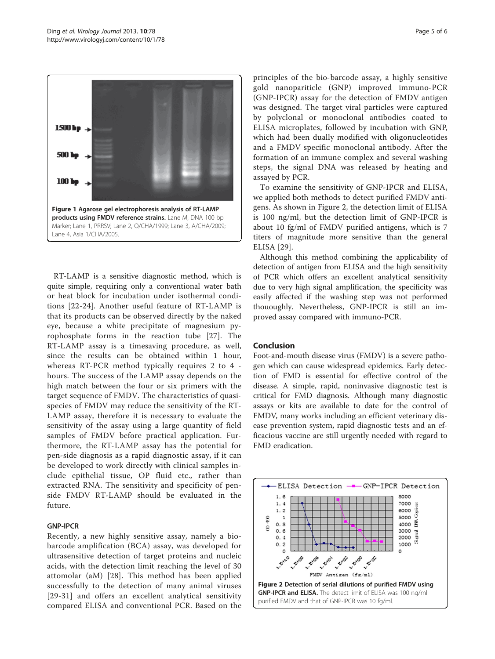

RT-LAMP is a sensitive diagnostic method, which is quite simple, requiring only a conventional water bath or heat block for incubation under isothermal conditions [22-24]. Another useful feature of RT-LAMP is that its products can be observed directly by the naked eye, because a white precipitate of magnesium pyrophosphate forms in the reaction tube [27]. The RT-LAMP assay is a timesaving procedure, as well, since the results can be obtained within 1 hour, whereas RT-PCR method typically requires 2 to 4 hours. The success of the LAMP assay depends on the high match between the four or six primers with the target sequence of FMDV. The characteristics of quasispecies of FMDV may reduce the sensitivity of the RT-LAMP assay, therefore it is necessary to evaluate the sensitivity of the assay using a large quantity of field samples of FMDV before practical application. Furthermore, the RT-LAMP assay has the potential for pen-side diagnosis as a rapid diagnostic assay, if it can be developed to work directly with clinical samples include epithelial tissue, OP fluid etc., rather than extracted RNA. The sensitivity and specificity of penside FMDV RT-LAMP should be evaluated in the future.

### GNP-IPCR

Recently, a new highly sensitive assay, namely a biobarcode amplification (BCA) assay, was developed for ultrasensitive detection of target proteins and nucleic acids, with the detection limit reaching the level of 30 attomolar (aM) [28]. This method has been applied successfully to the detection of many animal viruses [29-31] and offers an excellent analytical sensitivity compared ELISA and conventional PCR. Based on the

principles of the bio-barcode assay, a highly sensitive gold nanopariticle (GNP) improved immuno-PCR (GNP-IPCR) assay for the detection of FMDV antigen was designed. The target viral particles were captured by polyclonal or monoclonal antibodies coated to ELISA microplates, followed by incubation with GNP, which had been dually modified with oligonucleotides and a FMDV specific monoclonal antibody. After the formation of an immune complex and several washing steps, the signal DNA was released by heating and assayed by PCR.

To examine the sensitivity of GNP-IPCR and ELISA, we applied both methods to detect purified FMDV antigens. As shown in Figure 2, the detection limit of ELISA is 100 ng/ml, but the detection limit of GNP-IPCR is about 10 fg/ml of FMDV purified antigens, which is 7 titers of magnitude more sensitive than the general ELISA [29].

Although this method combining the applicability of detection of antigen from ELISA and the high sensitivity of PCR which offers an excellent analytical sensitivity due to very high signal amplification, the specificity was easily affected if the washing step was not performed thououghly. Nevertheless, GNP-IPCR is still an improved assay compared with immuno-PCR.

# Conclusion

Foot-and-mouth disease virus (FMDV) is a severe pathogen which can cause widespread epidemics. Early detection of FMD is essential for effective control of the disease. A simple, rapid, noninvasive diagnostic test is critical for FMD diagnosis. Although many diagnostic assays or kits are available to date for the control of FMDV, many works including an efficient veterinary disease prevention system, rapid diagnostic tests and an efficacious vaccine are still urgently needed with regard to FMD eradication.